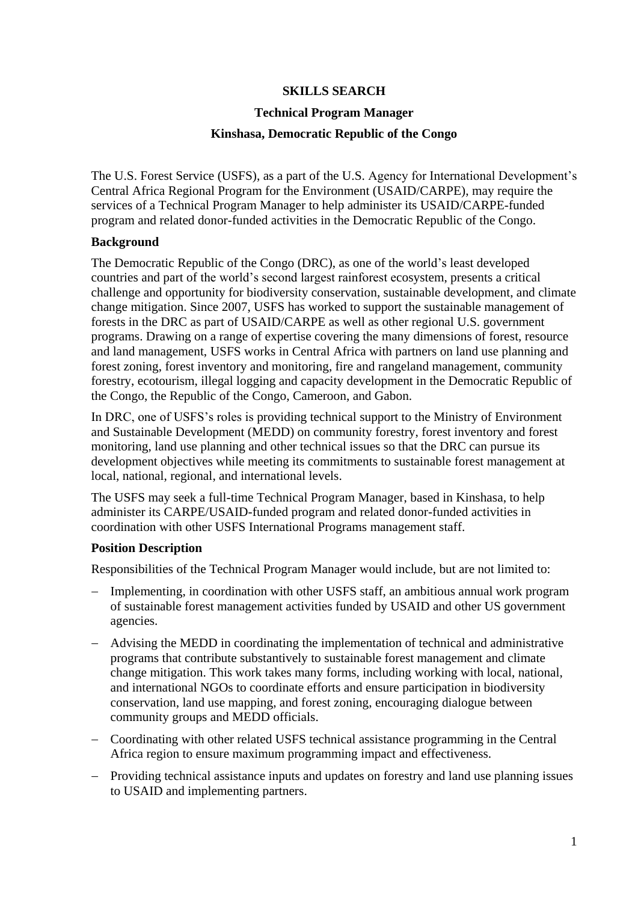# **SKILLS SEARCH**

### **Technical Program Manager**

## **Kinshasa, Democratic Republic of the Congo**

The U.S. Forest Service (USFS), as a part of the U.S. Agency for International Development's Central Africa Regional Program for the Environment (USAID/CARPE), may require the services of a Technical Program Manager to help administer its USAID/CARPE-funded program and related donor-funded activities in the Democratic Republic of the Congo.

## **Background**

The Democratic Republic of the Congo (DRC), as one of the world's least developed countries and part of the world's second largest rainforest ecosystem, presents a critical challenge and opportunity for biodiversity conservation, sustainable development, and climate change mitigation. Since 2007, USFS has worked to support the sustainable management of forests in the DRC as part of USAID/CARPE as well as other regional U.S. government programs. Drawing on a range of expertise covering the many dimensions of forest, resource and land management, USFS works in Central Africa with partners on land use planning and forest zoning, forest inventory and monitoring, fire and rangeland management, community forestry, ecotourism, illegal logging and capacity development in the Democratic Republic of the Congo, the Republic of the Congo, Cameroon, and Gabon.

In DRC, one of USFS's roles is providing technical support to the Ministry of Environment and Sustainable Development (MEDD) on community forestry, forest inventory and forest monitoring, land use planning and other technical issues so that the DRC can pursue its development objectives while meeting its commitments to sustainable forest management at local, national, regional, and international levels.

The USFS may seek a full-time Technical Program Manager, based in Kinshasa, to help administer its CARPE/USAID-funded program and related donor-funded activities in coordination with other USFS International Programs management staff.

## **Position Description**

Responsibilities of the Technical Program Manager would include, but are not limited to:

- Implementing, in coordination with other USFS staff, an ambitious annual work program of sustainable forest management activities funded by USAID and other US government agencies.
- Advising the MEDD in coordinating the implementation of technical and administrative programs that contribute substantively to sustainable forest management and climate change mitigation. This work takes many forms, including working with local, national, and international NGOs to coordinate efforts and ensure participation in biodiversity conservation, land use mapping, and forest zoning, encouraging dialogue between community groups and MEDD officials.
- Coordinating with other related USFS technical assistance programming in the Central Africa region to ensure maximum programming impact and effectiveness.
- Providing technical assistance inputs and updates on forestry and land use planning issues to USAID and implementing partners.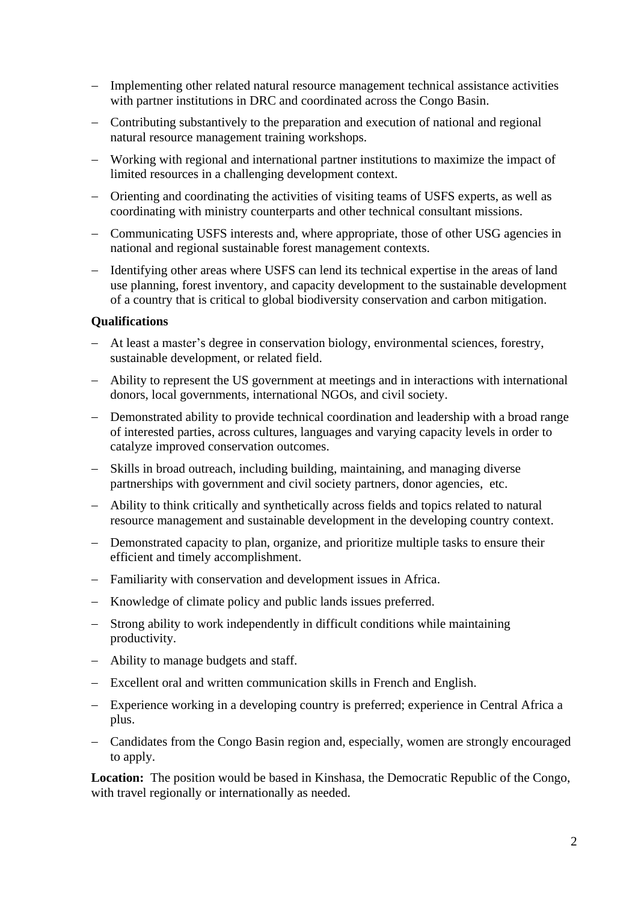- Implementing other related natural resource management technical assistance activities with partner institutions in DRC and coordinated across the Congo Basin.
- Contributing substantively to the preparation and execution of national and regional natural resource management training workshops.
- Working with regional and international partner institutions to maximize the impact of limited resources in a challenging development context.
- Orienting and coordinating the activities of visiting teams of USFS experts, as well as coordinating with ministry counterparts and other technical consultant missions.
- Communicating USFS interests and, where appropriate, those of other USG agencies in national and regional sustainable forest management contexts.
- Identifying other areas where USFS can lend its technical expertise in the areas of land use planning, forest inventory, and capacity development to the sustainable development of a country that is critical to global biodiversity conservation and carbon mitigation.

## **Qualifications**

- At least a master's degree in conservation biology, environmental sciences, forestry, sustainable development, or related field.
- Ability to represent the US government at meetings and in interactions with international donors, local governments, international NGOs, and civil society.
- Demonstrated ability to provide technical coordination and leadership with a broad range of interested parties, across cultures, languages and varying capacity levels in order to catalyze improved conservation outcomes.
- Skills in broad outreach, including building, maintaining, and managing diverse partnerships with government and civil society partners, donor agencies, etc.
- Ability to think critically and synthetically across fields and topics related to natural resource management and sustainable development in the developing country context.
- Demonstrated capacity to plan, organize, and prioritize multiple tasks to ensure their efficient and timely accomplishment.
- Familiarity with conservation and development issues in Africa.
- Knowledge of climate policy and public lands issues preferred.
- Strong ability to work independently in difficult conditions while maintaining productivity.
- Ability to manage budgets and staff.
- Excellent oral and written communication skills in French and English.
- Experience working in a developing country is preferred; experience in Central Africa a plus.
- Candidates from the Congo Basin region and, especially, women are strongly encouraged to apply.

**Location:** The position would be based in Kinshasa, the Democratic Republic of the Congo, with travel regionally or internationally as needed.